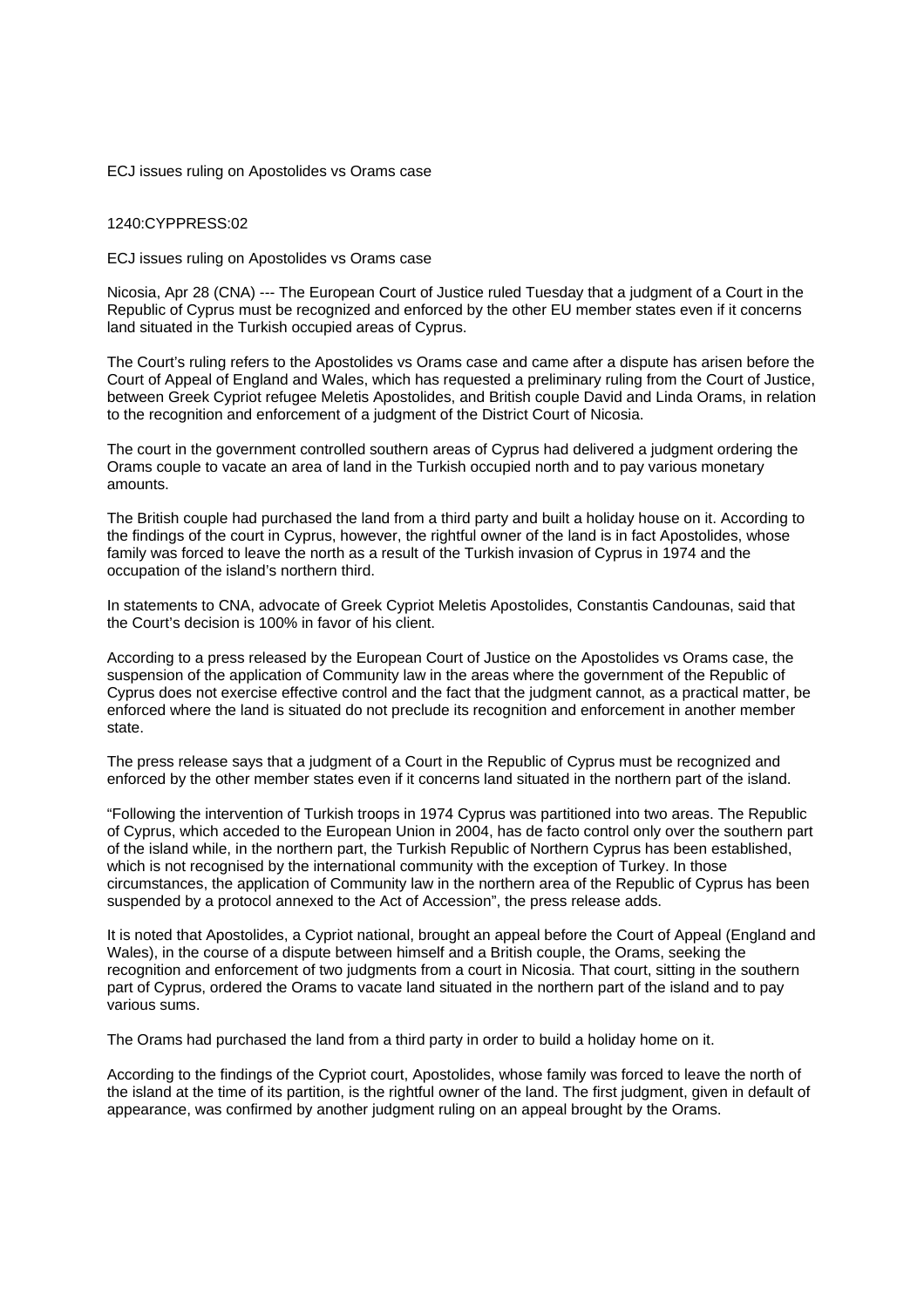ECJ issues ruling on Apostolides vs Orams case

1240:CYPPRESS:02

ECJ issues ruling on Apostolides vs Orams case

Nicosia, Apr 28 (CNA) --- The European Court of Justice ruled Tuesday that a judgment of a Court in the Republic of Cyprus must be recognized and enforced by the other EU member states even if it concerns land situated in the Turkish occupied areas of Cyprus.

The Court's ruling refers to the Apostolides vs Orams case and came after a dispute has arisen before the Court of Appeal of England and Wales, which has requested a preliminary ruling from the Court of Justice, between Greek Cypriot refugee Meletis Apostolides, and British couple David and Linda Orams, in relation to the recognition and enforcement of a judgment of the District Court of Nicosia.

The court in the government controlled southern areas of Cyprus had delivered a judgment ordering the Orams couple to vacate an area of land in the Turkish occupied north and to pay various monetary amounts.

The British couple had purchased the land from a third party and built a holiday house on it. According to the findings of the court in Cyprus, however, the rightful owner of the land is in fact Apostolides, whose family was forced to leave the north as a result of the Turkish invasion of Cyprus in 1974 and the occupation of the island's northern third.

In statements to CNA, advocate of Greek Cypriot Meletis Apostolides, Constantis Candounas, said that the Court's decision is 100% in favor of his client.

According to a press released by the European Court of Justice on the Apostolides vs Orams case, the suspension of the application of Community law in the areas where the government of the Republic of Cyprus does not exercise effective control and the fact that the judgment cannot, as a practical matter, be enforced where the land is situated do not preclude its recognition and enforcement in another member state.

The press release says that a judgment of a Court in the Republic of Cyprus must be recognized and enforced by the other member states even if it concerns land situated in the northern part of the island.

"Following the intervention of Turkish troops in 1974 Cyprus was partitioned into two areas. The Republic of Cyprus, which acceded to the European Union in 2004, has de facto control only over the southern part of the island while, in the northern part, the Turkish Republic of Northern Cyprus has been established, which is not recognised by the international community with the exception of Turkey. In those circumstances, the application of Community law in the northern area of the Republic of Cyprus has been suspended by a protocol annexed to the Act of Accession", the press release adds.

It is noted that Apostolides, a Cypriot national, brought an appeal before the Court of Appeal (England and Wales), in the course of a dispute between himself and a British couple, the Orams, seeking the recognition and enforcement of two judgments from a court in Nicosia. That court, sitting in the southern part of Cyprus, ordered the Orams to vacate land situated in the northern part of the island and to pay various sums.

The Orams had purchased the land from a third party in order to build a holiday home on it.

According to the findings of the Cypriot court, Apostolides, whose family was forced to leave the north of the island at the time of its partition, is the rightful owner of the land. The first judgment, given in default of appearance, was confirmed by another judgment ruling on an appeal brought by the Orams.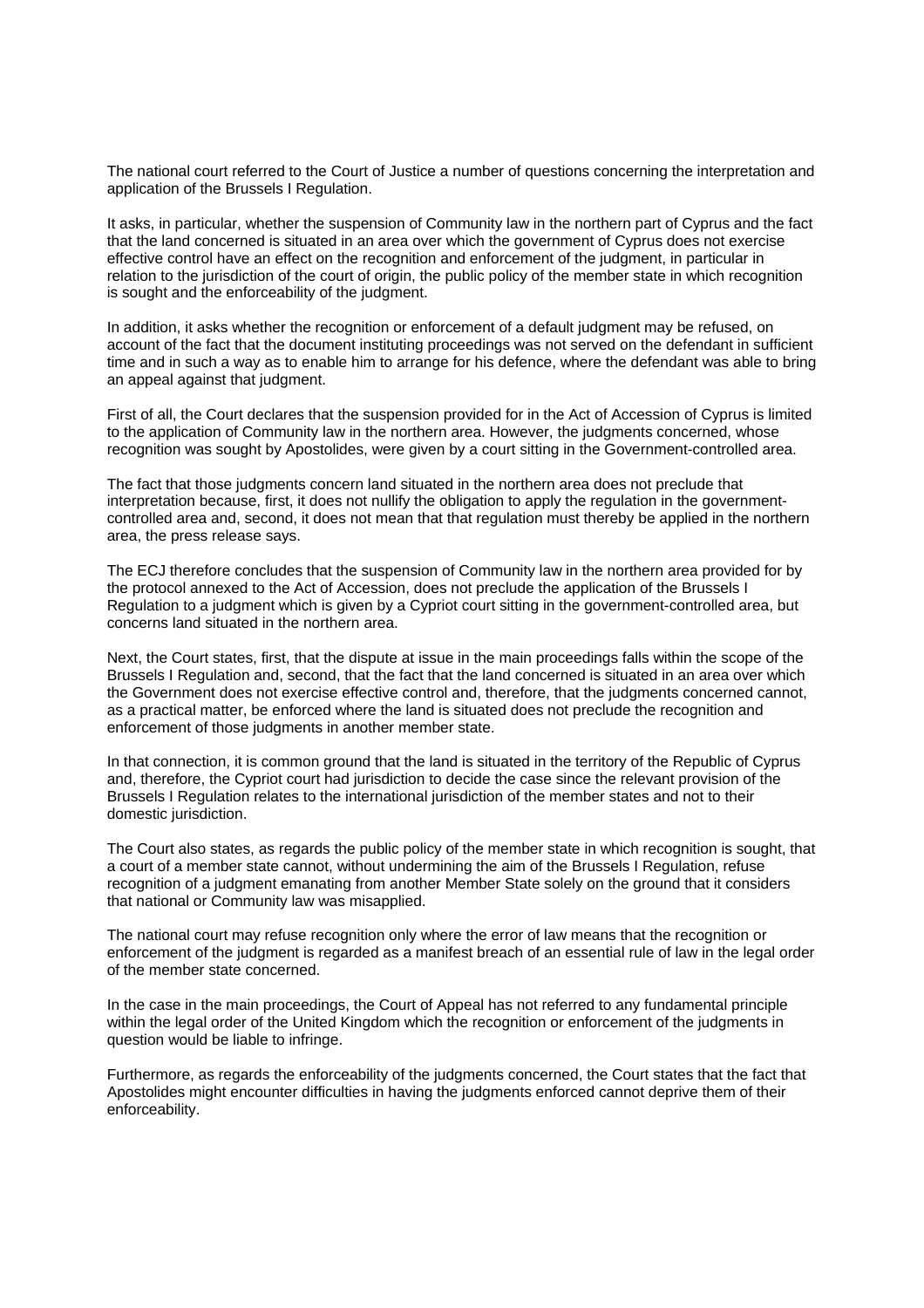The national court referred to the Court of Justice a number of questions concerning the interpretation and application of the Brussels I Regulation.

It asks, in particular, whether the suspension of Community law in the northern part of Cyprus and the fact that the land concerned is situated in an area over which the government of Cyprus does not exercise effective control have an effect on the recognition and enforcement of the judgment, in particular in relation to the jurisdiction of the court of origin, the public policy of the member state in which recognition is sought and the enforceability of the judgment.

In addition, it asks whether the recognition or enforcement of a default judgment may be refused, on account of the fact that the document instituting proceedings was not served on the defendant in sufficient time and in such a way as to enable him to arrange for his defence, where the defendant was able to bring an appeal against that judgment.

First of all, the Court declares that the suspension provided for in the Act of Accession of Cyprus is limited to the application of Community law in the northern area. However, the judgments concerned, whose recognition was sought by Apostolides, were given by a court sitting in the Government-controlled area.

The fact that those judgments concern land situated in the northern area does not preclude that interpretation because, first, it does not nullify the obligation to apply the regulation in the governmentcontrolled area and, second, it does not mean that that regulation must thereby be applied in the northern area, the press release says.

The ECJ therefore concludes that the suspension of Community law in the northern area provided for by the protocol annexed to the Act of Accession, does not preclude the application of the Brussels I Regulation to a judgment which is given by a Cypriot court sitting in the government-controlled area, but concerns land situated in the northern area.

Next, the Court states, first, that the dispute at issue in the main proceedings falls within the scope of the Brussels I Regulation and, second, that the fact that the land concerned is situated in an area over which the Government does not exercise effective control and, therefore, that the judgments concerned cannot, as a practical matter, be enforced where the land is situated does not preclude the recognition and enforcement of those judgments in another member state.

In that connection, it is common ground that the land is situated in the territory of the Republic of Cyprus and, therefore, the Cypriot court had jurisdiction to decide the case since the relevant provision of the Brussels I Regulation relates to the international jurisdiction of the member states and not to their domestic jurisdiction.

The Court also states, as regards the public policy of the member state in which recognition is sought, that a court of a member state cannot, without undermining the aim of the Brussels I Regulation, refuse recognition of a judgment emanating from another Member State solely on the ground that it considers that national or Community law was misapplied.

The national court may refuse recognition only where the error of law means that the recognition or enforcement of the judgment is regarded as a manifest breach of an essential rule of law in the legal order of the member state concerned.

In the case in the main proceedings, the Court of Appeal has not referred to any fundamental principle within the legal order of the United Kingdom which the recognition or enforcement of the judgments in question would be liable to infringe.

Furthermore, as regards the enforceability of the judgments concerned, the Court states that the fact that Apostolides might encounter difficulties in having the judgments enforced cannot deprive them of their enforceability.